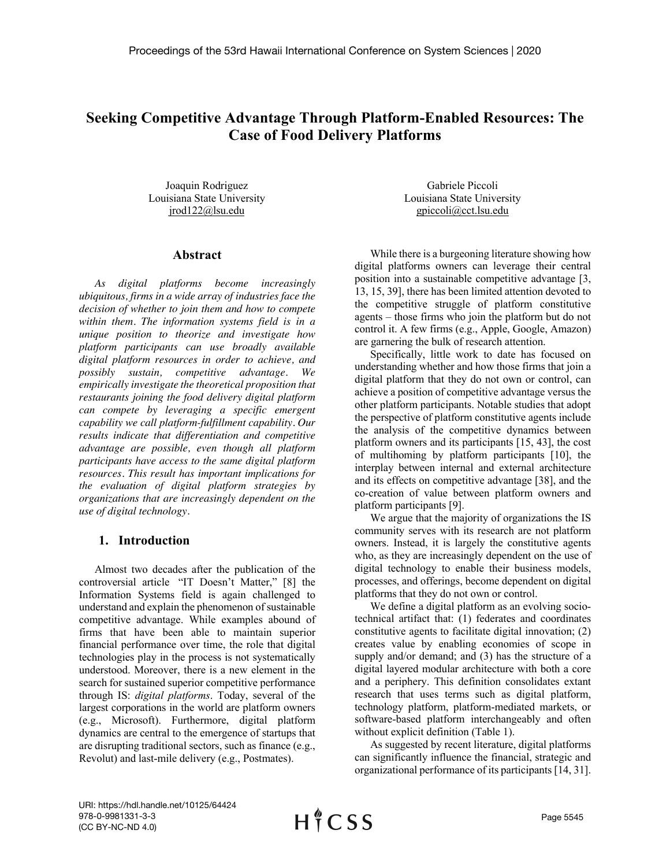# **Seeking Competitive Advantage Through Platform-Enabled Resources: The Case of Food Delivery Platforms**

Joaquin Rodriguez Louisiana State University jrod122@lsu.edu

#### **Abstract**

*As digital platforms become increasingly ubiquitous, firms in a wide array of industries face the decision of whether to join them and how to compete within them. The information systems field is in a unique position to theorize and investigate how platform participants can use broadly available digital platform resources in order to achieve, and possibly sustain, competitive advantage. We empirically investigate the theoretical proposition that restaurants joining the food delivery digital platform can compete by leveraging a specific emergent capability we call platform-fulfillment capability. Our results indicate that differentiation and competitive advantage are possible, even though all platform participants have access to the same digital platform resources. This result has important implications for the evaluation of digital platform strategies by organizations that are increasingly dependent on the use of digital technology.*

### **1. Introduction**

Almost two decades after the publication of the controversial article "IT Doesn't Matter," [8] the Information Systems field is again challenged to understand and explain the phenomenon of sustainable competitive advantage. While examples abound of firms that have been able to maintain superior financial performance over time, the role that digital technologies play in the process is not systematically understood. Moreover, there is a new element in the search for sustained superior competitive performance through IS: *digital platforms*. Today, several of the largest corporations in the world are platform owners (e.g., Microsoft). Furthermore, digital platform dynamics are central to the emergence of startups that are disrupting traditional sectors, such as finance (e.g., Revolut) and last-mile delivery (e.g., Postmates).

Gabriele Piccoli Louisiana State University gpiccoli@cct.lsu.edu

While there is a burgeoning literature showing how digital platforms owners can leverage their central position into a sustainable competitive advantage [3, 13, 15, 39], there has been limited attention devoted to the competitive struggle of platform constitutive agents – those firms who join the platform but do not control it. A few firms (e.g., Apple, Google, Amazon) are garnering the bulk of research attention.

Specifically, little work to date has focused on understanding whether and how those firms that join a digital platform that they do not own or control, can achieve a position of competitive advantage versus the other platform participants. Notable studies that adopt the perspective of platform constitutive agents include the analysis of the competitive dynamics between platform owners and its participants [15, 43], the cost of multihoming by platform participants [10], the interplay between internal and external architecture and its effects on competitive advantage [38], and the co-creation of value between platform owners and platform participants [9].

We argue that the majority of organizations the IS community serves with its research are not platform owners. Instead, it is largely the constitutive agents who, as they are increasingly dependent on the use of digital technology to enable their business models, processes, and offerings, become dependent on digital platforms that they do not own or control.

We define a digital platform as an evolving sociotechnical artifact that: (1) federates and coordinates constitutive agents to facilitate digital innovation; (2) creates value by enabling economies of scope in supply and/or demand; and (3) has the structure of a digital layered modular architecture with both a core and a periphery. This definition consolidates extant research that uses terms such as digital platform, technology platform, platform-mediated markets, or software-based platform interchangeably and often without explicit definition (Table 1).

As suggested by recent literature, digital platforms can significantly influence the financial, strategic and organizational performance of its participants [14, 31].

URI: https://hdl.handle.net/10125/64424 978-0-9981331-3-3 (CC BY-NC-ND 4.0)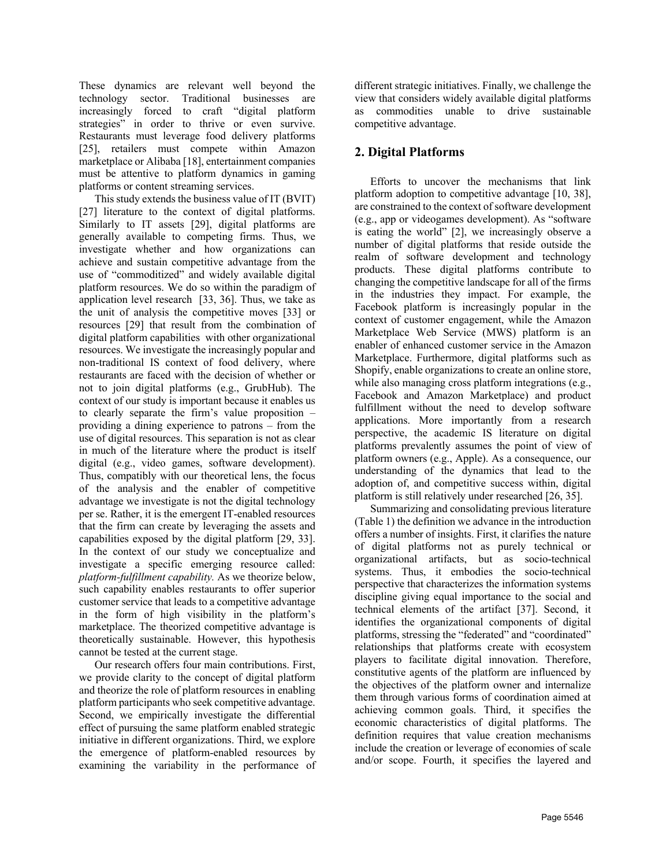These dynamics are relevant well beyond the technology sector. Traditional businesses are increasingly forced to craft "digital platform strategies" in order to thrive or even survive. Restaurants must leverage food delivery platforms [25], retailers must compete within Amazon marketplace or Alibaba [18], entertainment companies must be attentive to platform dynamics in gaming platforms or content streaming services.

This study extends the business value of IT (BVIT) [27] literature to the context of digital platforms. Similarly to IT assets [29], digital platforms are generally available to competing firms. Thus, we investigate whether and how organizations can achieve and sustain competitive advantage from the use of "commoditized" and widely available digital platform resources. We do so within the paradigm of application level research [33, 36]. Thus, we take as the unit of analysis the competitive moves [33] or resources [29] that result from the combination of digital platform capabilities with other organizational resources. We investigate the increasingly popular and non-traditional IS context of food delivery, where restaurants are faced with the decision of whether or not to join digital platforms (e.g., GrubHub). The context of our study is important because it enables us to clearly separate the firm's value proposition – providing a dining experience to patrons – from the use of digital resources. This separation is not as clear in much of the literature where the product is itself digital (e.g., video games, software development). Thus, compatibly with our theoretical lens, the focus of the analysis and the enabler of competitive advantage we investigate is not the digital technology per se. Rather, it is the emergent IT-enabled resources that the firm can create by leveraging the assets and capabilities exposed by the digital platform [29, 33]. In the context of our study we conceptualize and investigate a specific emerging resource called: *platform-fulfillment capability.* As we theorize below, such capability enables restaurants to offer superior customer service that leads to a competitive advantage in the form of high visibility in the platform's marketplace. The theorized competitive advantage is theoretically sustainable. However, this hypothesis cannot be tested at the current stage.

Our research offers four main contributions. First, we provide clarity to the concept of digital platform and theorize the role of platform resources in enabling platform participants who seek competitive advantage. Second, we empirically investigate the differential effect of pursuing the same platform enabled strategic initiative in different organizations. Third, we explore the emergence of platform-enabled resources by examining the variability in the performance of

different strategic initiatives. Finally, we challenge the view that considers widely available digital platforms as commodities unable to drive sustainable competitive advantage.

## **2. Digital Platforms**

Efforts to uncover the mechanisms that link platform adoption to competitive advantage [10, 38], are constrained to the context of software development (e.g., app or videogames development). As "software is eating the world" [2], we increasingly observe a number of digital platforms that reside outside the realm of software development and technology products. These digital platforms contribute to changing the competitive landscape for all of the firms in the industries they impact. For example, the Facebook platform is increasingly popular in the context of customer engagement, while the Amazon Marketplace Web Service (MWS) platform is an enabler of enhanced customer service in the Amazon Marketplace. Furthermore, digital platforms such as Shopify, enable organizations to create an online store, while also managing cross platform integrations (e.g., Facebook and Amazon Marketplace) and product fulfillment without the need to develop software applications. More importantly from a research perspective, the academic IS literature on digital platforms prevalently assumes the point of view of platform owners (e.g., Apple). As a consequence, our understanding of the dynamics that lead to the adoption of, and competitive success within, digital platform is still relatively under researched [26, 35].

Summarizing and consolidating previous literature (Table 1) the definition we advance in the introduction offers a number of insights. First, it clarifies the nature of digital platforms not as purely technical or organizational artifacts, but as socio-technical systems. Thus, it embodies the socio-technical perspective that characterizes the information systems discipline giving equal importance to the social and technical elements of the artifact [37]. Second, it identifies the organizational components of digital platforms, stressing the "federated" and "coordinated" relationships that platforms create with ecosystem players to facilitate digital innovation. Therefore, constitutive agents of the platform are influenced by the objectives of the platform owner and internalize them through various forms of coordination aimed at achieving common goals. Third, it specifies the economic characteristics of digital platforms. The definition requires that value creation mechanisms include the creation or leverage of economies of scale and/or scope. Fourth, it specifies the layered and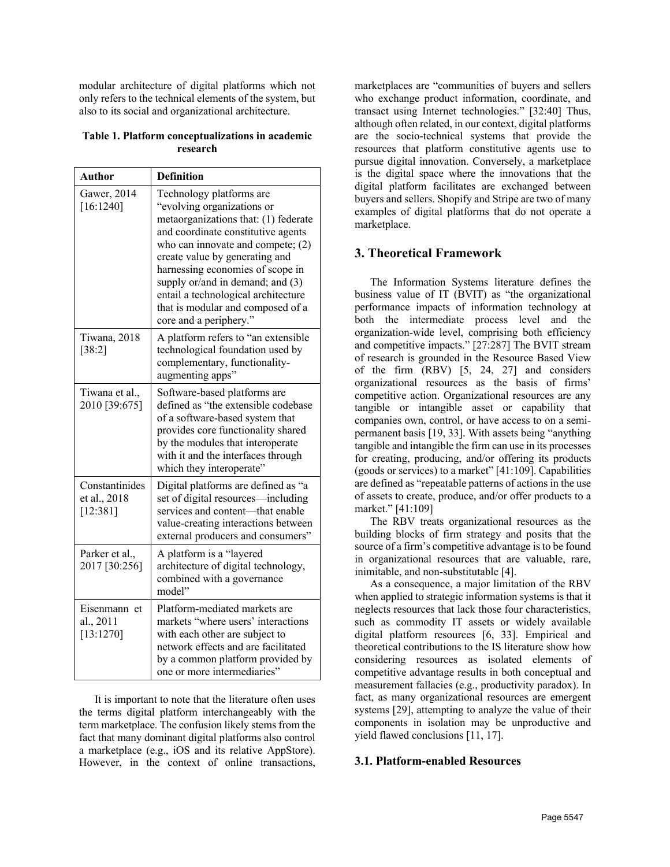modular architecture of digital platforms which not only refers to the technical elements of the system, but also to its social and organizational architecture.

#### **Table 1. Platform conceptualizations in academic research**

| <b>Author</b>                              | <b>Definition</b>                                                                                                                                                                                                                                                                                                                                                                           |  |
|--------------------------------------------|---------------------------------------------------------------------------------------------------------------------------------------------------------------------------------------------------------------------------------------------------------------------------------------------------------------------------------------------------------------------------------------------|--|
| Gawer, 2014<br>[16:1240]                   | Technology platforms are<br>"evolving organizations or<br>metaorganizations that: (1) federate<br>and coordinate constitutive agents<br>who can innovate and compete; $(2)$<br>create value by generating and<br>harnessing economies of scope in<br>supply or/and in demand; and (3)<br>entail a technological architecture<br>that is modular and composed of a<br>core and a periphery." |  |
| Tiwana, 2018<br>[38:2]                     | A platform refers to "an extensible<br>technological foundation used by<br>complementary, functionality-<br>augmenting apps"                                                                                                                                                                                                                                                                |  |
| Tiwana et al.,<br>2010 [39:675]            | Software-based platforms are<br>defined as "the extensible codebase<br>of a software-based system that<br>provides core functionality shared<br>by the modules that interoperate<br>with it and the interfaces through<br>which they interoperate"                                                                                                                                          |  |
| Constantinides<br>et al., 2018<br>[12:381] | Digital platforms are defined as "a<br>set of digital resources—including<br>services and content-that enable<br>value-creating interactions between<br>external producers and consumers"                                                                                                                                                                                                   |  |
| Parker et al.,<br>2017 [30:256]            | A platform is a "layered<br>architecture of digital technology,<br>combined with a governance<br>model"                                                                                                                                                                                                                                                                                     |  |
| Eisenmann et<br>al., 2011<br>[13:1270]     | Platform-mediated markets are<br>markets "where users' interactions<br>with each other are subject to<br>network effects and are facilitated<br>by a common platform provided by<br>one or more intermediaries"                                                                                                                                                                             |  |

It is important to note that the literature often uses the terms digital platform interchangeably with the term marketplace. The confusion likely stems from the fact that many dominant digital platforms also control a marketplace (e.g., iOS and its relative AppStore). However, in the context of online transactions,

marketplaces are "communities of buyers and sellers who exchange product information, coordinate, and transact using Internet technologies." [32:40] Thus, although often related, in our context, digital platforms are the socio-technical systems that provide the resources that platform constitutive agents use to pursue digital innovation. Conversely, a marketplace is the digital space where the innovations that the digital platform facilitates are exchanged between buyers and sellers. Shopify and Stripe are two of many examples of digital platforms that do not operate a marketplace.

### **3. Theoretical Framework**

The Information Systems literature defines the business value of IT (BVIT) as "the organizational performance impacts of information technology at both the intermediate process level and the organization-wide level, comprising both efficiency and competitive impacts." [27:287] The BVIT stream of research is grounded in the Resource Based View of the firm (RBV) [5, 24, 27] and considers organizational resources as the basis of firms' competitive action. Organizational resources are any tangible or intangible asset or capability that companies own, control, or have access to on a semipermanent basis [19, 33]. With assets being "anything tangible and intangible the firm can use in its processes for creating, producing, and/or offering its products (goods or services) to a market" [41:109]. Capabilities are defined as "repeatable patterns of actions in the use of assets to create, produce, and/or offer products to a market." [41:109]

The RBV treats organizational resources as the building blocks of firm strategy and posits that the source of a firm's competitive advantage is to be found in organizational resources that are valuable, rare, inimitable, and non-substitutable [4].

As a consequence, a major limitation of the RBV when applied to strategic information systems is that it neglects resources that lack those four characteristics, such as commodity IT assets or widely available digital platform resources [6, 33]. Empirical and theoretical contributions to the IS literature show how considering resources as isolated elements of competitive advantage results in both conceptual and measurement fallacies (e.g., productivity paradox). In fact, as many organizational resources are emergent systems [29], attempting to analyze the value of their components in isolation may be unproductive and yield flawed conclusions [11, 17].

#### **3.1. Platform-enabled Resources**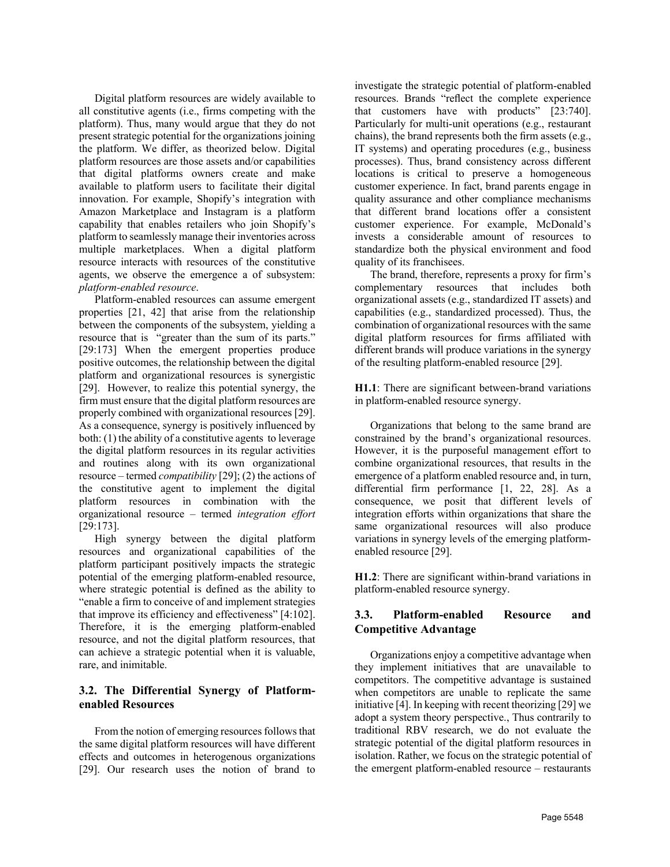Digital platform resources are widely available to all constitutive agents (i.e., firms competing with the platform). Thus, many would argue that they do not present strategic potential for the organizations joining the platform. We differ, as theorized below. Digital platform resources are those assets and/or capabilities that digital platforms owners create and make available to platform users to facilitate their digital innovation. For example, Shopify's integration with Amazon Marketplace and Instagram is a platform capability that enables retailers who join Shopify's platform to seamlessly manage their inventories across multiple marketplaces. When a digital platform resource interacts with resources of the constitutive agents, we observe the emergence a of subsystem: *platform-enabled resource*.

Platform-enabled resources can assume emergent properties [21, 42] that arise from the relationship between the components of the subsystem, yielding a resource that is "greater than the sum of its parts." [29:173] When the emergent properties produce positive outcomes, the relationship between the digital platform and organizational resources is synergistic [29]. However, to realize this potential synergy, the firm must ensure that the digital platform resources are properly combined with organizational resources [29]. As a consequence, synergy is positively influenced by both: (1) the ability of a constitutive agents to leverage the digital platform resources in its regular activities and routines along with its own organizational resource – termed *compatibility* [29]; (2) the actions of the constitutive agent to implement the digital platform resources in combination with the organizational resource – termed *integration effort* [29:173].

High synergy between the digital platform resources and organizational capabilities of the platform participant positively impacts the strategic potential of the emerging platform-enabled resource, where strategic potential is defined as the ability to "enable a firm to conceive of and implement strategies that improve its efficiency and effectiveness" [4:102]. Therefore, it is the emerging platform-enabled resource, and not the digital platform resources, that can achieve a strategic potential when it is valuable, rare, and inimitable.

### **3.2. The Differential Synergy of Platformenabled Resources**

From the notion of emerging resources follows that the same digital platform resources will have different effects and outcomes in heterogenous organizations [29]. Our research uses the notion of brand to investigate the strategic potential of platform-enabled resources. Brands "reflect the complete experience that customers have with products" [23:740]. Particularly for multi-unit operations (e.g., restaurant chains), the brand represents both the firm assets (e.g., IT systems) and operating procedures (e.g., business processes). Thus, brand consistency across different locations is critical to preserve a homogeneous customer experience. In fact, brand parents engage in quality assurance and other compliance mechanisms that different brand locations offer a consistent customer experience. For example, McDonald's invests a considerable amount of resources to standardize both the physical environment and food quality of its franchisees.

The brand, therefore, represents a proxy for firm's complementary resources that includes both organizational assets (e.g., standardized IT assets) and capabilities (e.g., standardized processed). Thus, the combination of organizational resources with the same digital platform resources for firms affiliated with different brands will produce variations in the synergy of the resulting platform-enabled resource [29].

**H1.1**: There are significant between-brand variations in platform-enabled resource synergy.

Organizations that belong to the same brand are constrained by the brand's organizational resources. However, it is the purposeful management effort to combine organizational resources, that results in the emergence of a platform enabled resource and, in turn, differential firm performance [1, 22, 28]. As a consequence, we posit that different levels of integration efforts within organizations that share the same organizational resources will also produce variations in synergy levels of the emerging platformenabled resource [29].

**H1.2**: There are significant within-brand variations in platform-enabled resource synergy.

### **3.3. Platform-enabled Resource and Competitive Advantage**

Organizations enjoy a competitive advantage when they implement initiatives that are unavailable to competitors. The competitive advantage is sustained when competitors are unable to replicate the same initiative [4]. In keeping with recent theorizing [29] we adopt a system theory perspective., Thus contrarily to traditional RBV research, we do not evaluate the strategic potential of the digital platform resources in isolation. Rather, we focus on the strategic potential of the emergent platform-enabled resource – restaurants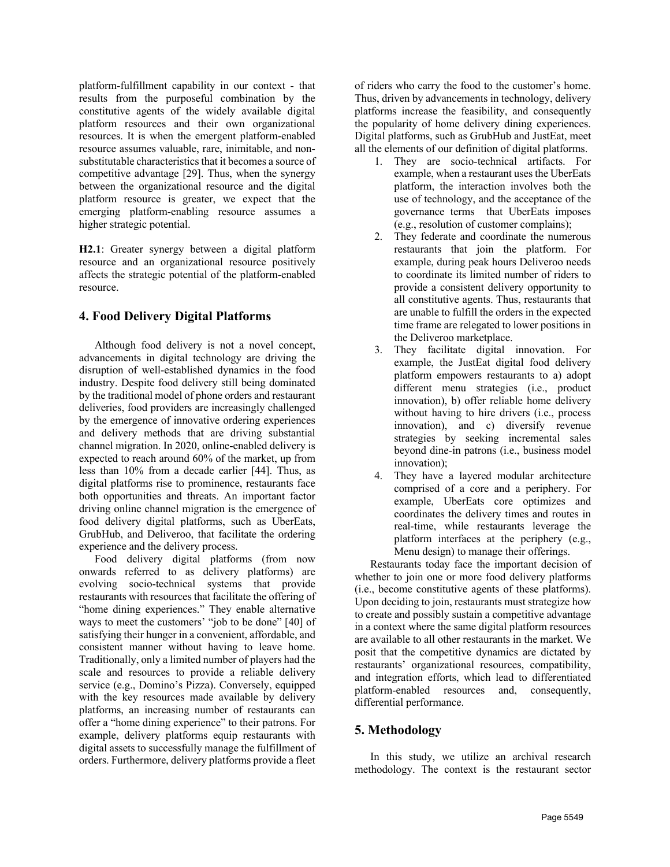platform-fulfillment capability in our context - that results from the purposeful combination by the constitutive agents of the widely available digital platform resources and their own organizational resources. It is when the emergent platform-enabled resource assumes valuable, rare, inimitable, and nonsubstitutable characteristics that it becomes a source of competitive advantage [29]. Thus, when the synergy between the organizational resource and the digital platform resource is greater, we expect that the emerging platform-enabling resource assumes a higher strategic potential.

**H2.1**: Greater synergy between a digital platform resource and an organizational resource positively affects the strategic potential of the platform-enabled resource.

### **4. Food Delivery Digital Platforms**

Although food delivery is not a novel concept, advancements in digital technology are driving the disruption of well-established dynamics in the food industry. Despite food delivery still being dominated by the traditional model of phone orders and restaurant deliveries, food providers are increasingly challenged by the emergence of innovative ordering experiences and delivery methods that are driving substantial channel migration. In 2020, online-enabled delivery is expected to reach around 60% of the market, up from less than 10% from a decade earlier [44]. Thus, as digital platforms rise to prominence, restaurants face both opportunities and threats. An important factor driving online channel migration is the emergence of food delivery digital platforms, such as UberEats, GrubHub, and Deliveroo, that facilitate the ordering experience and the delivery process.

Food delivery digital platforms (from now onwards referred to as delivery platforms) are evolving socio-technical systems that provide restaurants with resources that facilitate the offering of "home dining experiences." They enable alternative ways to meet the customers' "job to be done" [40] of satisfying their hunger in a convenient, affordable, and consistent manner without having to leave home. Traditionally, only a limited number of players had the scale and resources to provide a reliable delivery service (e.g., Domino's Pizza). Conversely, equipped with the key resources made available by delivery platforms, an increasing number of restaurants can offer a "home dining experience" to their patrons. For example, delivery platforms equip restaurants with digital assets to successfully manage the fulfillment of orders. Furthermore, delivery platforms provide a fleet

of riders who carry the food to the customer's home. Thus, driven by advancements in technology, delivery platforms increase the feasibility, and consequently the popularity of home delivery dining experiences. Digital platforms, such as GrubHub and JustEat, meet all the elements of our definition of digital platforms.

- 1. They are socio-technical artifacts. For example, when a restaurant uses the UberEats platform, the interaction involves both the use of technology, and the acceptance of the governance terms that UberEats imposes (e.g., resolution of customer complains);
- 2. They federate and coordinate the numerous restaurants that join the platform. For example, during peak hours Deliveroo needs to coordinate its limited number of riders to provide a consistent delivery opportunity to all constitutive agents. Thus, restaurants that are unable to fulfill the orders in the expected time frame are relegated to lower positions in the Deliveroo marketplace.
- 3. They facilitate digital innovation. For example, the JustEat digital food delivery platform empowers restaurants to a) adopt different menu strategies (i.e., product innovation), b) offer reliable home delivery without having to hire drivers (*i.e.*, process innovation), and c) diversify revenue strategies by seeking incremental sales beyond dine-in patrons (i.e., business model innovation);
- 4. They have a layered modular architecture comprised of a core and a periphery. For example, UberEats core optimizes and coordinates the delivery times and routes in real-time, while restaurants leverage the platform interfaces at the periphery (e.g., Menu design) to manage their offerings.

Restaurants today face the important decision of whether to join one or more food delivery platforms (i.e., become constitutive agents of these platforms). Upon deciding to join, restaurants must strategize how to create and possibly sustain a competitive advantage in a context where the same digital platform resources are available to all other restaurants in the market. We posit that the competitive dynamics are dictated by restaurants' organizational resources, compatibility, and integration efforts, which lead to differentiated platform-enabled resources and, consequently, differential performance.

# **5. Methodology**

In this study, we utilize an archival research methodology. The context is the restaurant sector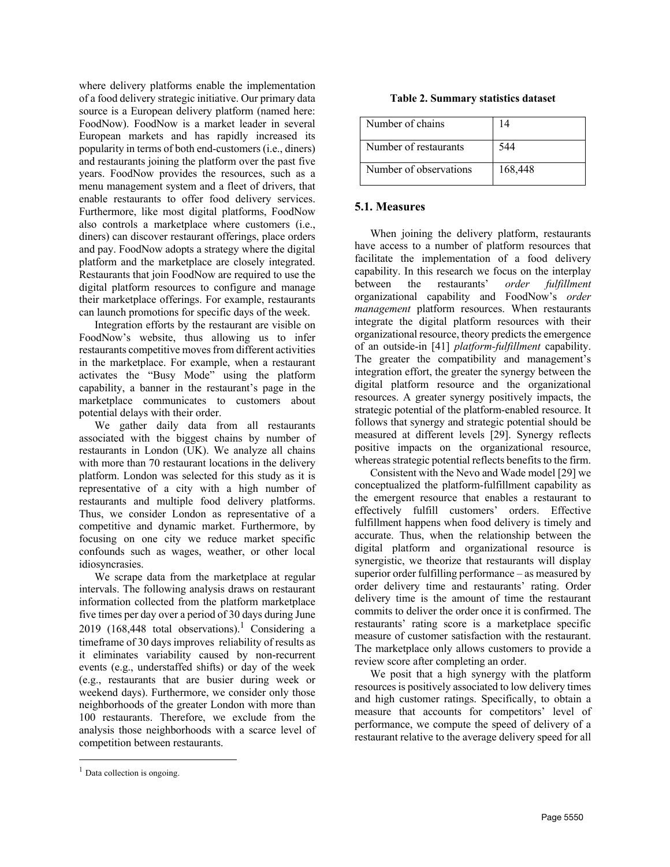where delivery platforms enable the implementation of a food delivery strategic initiative. Our primary data source is a European delivery platform (named here: FoodNow). FoodNow is a market leader in several European markets and has rapidly increased its popularity in terms of both end-customers (i.e., diners) and restaurants joining the platform over the past five years. FoodNow provides the resources, such as a menu management system and a fleet of drivers, that enable restaurants to offer food delivery services. Furthermore, like most digital platforms, FoodNow also controls a marketplace where customers (i.e., diners) can discover restaurant offerings, place orders and pay. FoodNow adopts a strategy where the digital platform and the marketplace are closely integrated. Restaurants that join FoodNow are required to use the digital platform resources to configure and manage their marketplace offerings. For example, restaurants can launch promotions for specific days of the week.

Integration efforts by the restaurant are visible on FoodNow's website, thus allowing us to infer restaurants competitive moves from different activities in the marketplace. For example, when a restaurant activates the "Busy Mode" using the platform capability, a banner in the restaurant's page in the marketplace communicates to customers about potential delays with their order.

We gather daily data from all restaurants associated with the biggest chains by number of restaurants in London (UK). We analyze all chains with more than 70 restaurant locations in the delivery platform. London was selected for this study as it is representative of a city with a high number of restaurants and multiple food delivery platforms. Thus, we consider London as representative of a competitive and dynamic market. Furthermore, by focusing on one city we reduce market specific confounds such as wages, weather, or other local idiosyncrasies.

We scrape data from the marketplace at regular intervals. The following analysis draws on restaurant information collected from the platform marketplace five times per day over a period of 30 days during June 2019 (168,448 total observations).<sup>1</sup> Considering a timeframe of 30 days improves reliability of results as it eliminates variability caused by non-recurrent events (e.g., understaffed shifts) or day of the week (e.g., restaurants that are busier during week or weekend days). Furthermore, we consider only those neighborhoods of the greater London with more than 100 restaurants. Therefore, we exclude from the analysis those neighborhoods with a scarce level of competition between restaurants.

#### **Table 2. Summary statistics dataset**

| Number of chains       | 14      |
|------------------------|---------|
| Number of restaurants  | 544     |
| Number of observations | 168,448 |

#### **5.1. Measures**

When joining the delivery platform, restaurants have access to a number of platform resources that facilitate the implementation of a food delivery capability. In this research we focus on the interplay between the restaurants' *order fulfillment*  organizational capability and FoodNow's *order management* platform resources. When restaurants integrate the digital platform resources with their organizational resource, theory predicts the emergence of an outside-in [41] *platform-fulfillment* capability. The greater the compatibility and management's integration effort, the greater the synergy between the digital platform resource and the organizational resources. A greater synergy positively impacts, the strategic potential of the platform-enabled resource. It follows that synergy and strategic potential should be measured at different levels [29]. Synergy reflects positive impacts on the organizational resource, whereas strategic potential reflects benefits to the firm.

Consistent with the Nevo and Wade model [29] we conceptualized the platform-fulfillment capability as the emergent resource that enables a restaurant to effectively fulfill customers' orders. Effective fulfillment happens when food delivery is timely and accurate. Thus, when the relationship between the digital platform and organizational resource is synergistic, we theorize that restaurants will display superior order fulfilling performance – as measured by order delivery time and restaurants' rating. Order delivery time is the amount of time the restaurant commits to deliver the order once it is confirmed. The restaurants' rating score is a marketplace specific measure of customer satisfaction with the restaurant. The marketplace only allows customers to provide a review score after completing an order.

We posit that a high synergy with the platform resources is positively associated to low delivery times and high customer ratings. Specifically, to obtain a measure that accounts for competitors' level of performance, we compute the speed of delivery of a restaurant relative to the average delivery speed for all

 $<sup>1</sup>$  Data collection is ongoing.</sup>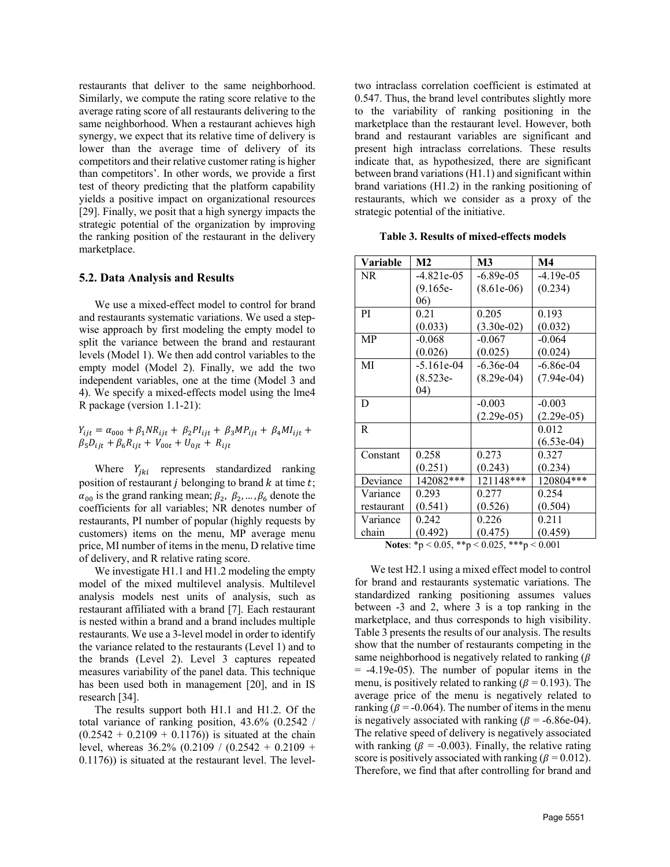restaurants that deliver to the same neighborhood. Similarly, we compute the rating score relative to the average rating score of all restaurants delivering to the same neighborhood. When a restaurant achieves high synergy, we expect that its relative time of delivery is lower than the average time of delivery of its competitors and their relative customer rating is higher than competitors'. In other words, we provide a first test of theory predicting that the platform capability yields a positive impact on organizational resources [29]. Finally, we posit that a high synergy impacts the strategic potential of the organization by improving the ranking position of the restaurant in the delivery marketplace.

#### **5.2. Data Analysis and Results**

We use a mixed-effect model to control for brand and restaurants systematic variations. We used a stepwise approach by first modeling the empty model to split the variance between the brand and restaurant levels (Model 1). We then add control variables to the empty model (Model 2). Finally, we add the two independent variables, one at the time (Model 3 and 4). We specify a mixed-effects model using the lme4 R package (version 1.1-21):

 $Y_{ijt} = \alpha_{000} + \beta_1 N R_{ijt} + \beta_2 P I_{ijt} + \beta_3 M P_{ijt} + \beta_4 M I_{ijt} +$  $\beta_5 D_{ijt} + \beta_6 R_{ijt} + V_{00t} + U_{0jt} + R_{ijt}$ 

Where  $Y_{jki}$  represents standardized ranking position of restaurant  $j$  belonging to brand  $k$  at time  $t$ ;  $\alpha_{00}$  is the grand ranking mean;  $\beta_2$ ,  $\beta_2$ , ...,  $\beta_6$  denote the coefficients for all variables; NR denotes number of restaurants, PI number of popular (highly requests by customers) items on the menu, MP average menu price, MI number of items in the menu, D relative time of delivery, and R relative rating score.

We investigate H1.1 and H1.2 modeling the empty model of the mixed multilevel analysis. Multilevel analysis models nest units of analysis, such as restaurant affiliated with a brand [7]. Each restaurant is nested within a brand and a brand includes multiple restaurants. We use a 3-level model in order to identify the variance related to the restaurants (Level 1) and to the brands (Level 2). Level 3 captures repeated measures variability of the panel data. This technique has been used both in management [20], and in IS research [34].

The results support both H1.1 and H1.2. Of the total variance of ranking position, 43.6% (0.2542 /  $(0.2542 + 0.2109 + 0.1176)$  is situated at the chain level, whereas  $36.2\%$  (0.2109 / (0.2542 + 0.2109 + 0.1176)) is situated at the restaurant level. The leveltwo intraclass correlation coefficient is estimated at 0.547. Thus, the brand level contributes slightly more to the variability of ranking positioning in the marketplace than the restaurant level. However, both brand and restaurant variables are significant and present high intraclass correlations. These results indicate that, as hypothesized, there are significant between brand variations (H1.1) and significant within brand variations (H1.2) in the ranking positioning of restaurants, which we consider as a proxy of the strategic potential of the initiative.

**Table 3. Results of mixed-effects models**

| Variable      | M <sub>2</sub> | M <sub>3</sub> | $\mathbf{M}4$ |
|---------------|----------------|----------------|---------------|
| NR.           | $-4.821e-05$   | $-6.89e-05$    | $-4.19e-05$   |
|               | $(9.165e-$     | $(8.61e-06)$   | (0.234)       |
|               | 06)            |                |               |
| <sub>PI</sub> | 0.21           | 0.205          | 0.193         |
|               | (0.033)        | $(3.30e-02)$   | (0.032)       |
| <b>MP</b>     | $-0.068$       | $-0.067$       | $-0.064$      |
|               | (0.026)        | (0.025)        | (0.024)       |
| MI            | $-5.161e-04$   | $-6.36e-04$    | $-6.86e-04$   |
|               | $(8.523e-$     | $(8.29e-04)$   | $(7.94e-04)$  |
|               | (04)           |                |               |
| D             |                | $-0.003$       | $-0.003$      |
|               |                | $(2.29e-05)$   | $(2.29e-05)$  |
| R             |                |                | 0.012         |
|               |                |                | $(6.53e-04)$  |
| Constant      | 0.258          | 0.273          | 0.327         |
|               | (0.251)        | (0.243)        | (0.234)       |
| Deviance      | 142082***      | 121148***      | 120804***     |
| Variance      | 0.293          | 0.277          | 0.254         |
| restaurant    | (0.541)        | (0.526)        | (0.504)       |
| Variance      | 0.242          | 0.226          | 0.211         |
| chain         | (0.492)        | (0.475)        | (0.459)       |

**Notes**: \*p < 0.05, \*\*p < 0.025, \*\*\*p < 0.001

We test H2.1 using a mixed effect model to control for brand and restaurants systematic variations. The standardized ranking positioning assumes values between -3 and 2, where 3 is a top ranking in the marketplace, and thus corresponds to high visibility. Table 3 presents the results of our analysis. The results show that the number of restaurants competing in the same neighborhood is negatively related to ranking  $(\beta)$  $= -4.19e-05$ ). The number of popular items in the menu, is positively related to ranking ( $\beta$  = 0.193). The average price of the menu is negatively related to ranking ( $\beta$  = -0.064). The number of items in the menu is negatively associated with ranking ( $\beta$  = -6.86e-04). The relative speed of delivery is negatively associated with ranking ( $\beta$  = -0.003). Finally, the relative rating score is positively associated with ranking ( $\beta$  = 0.012). Therefore, we find that after controlling for brand and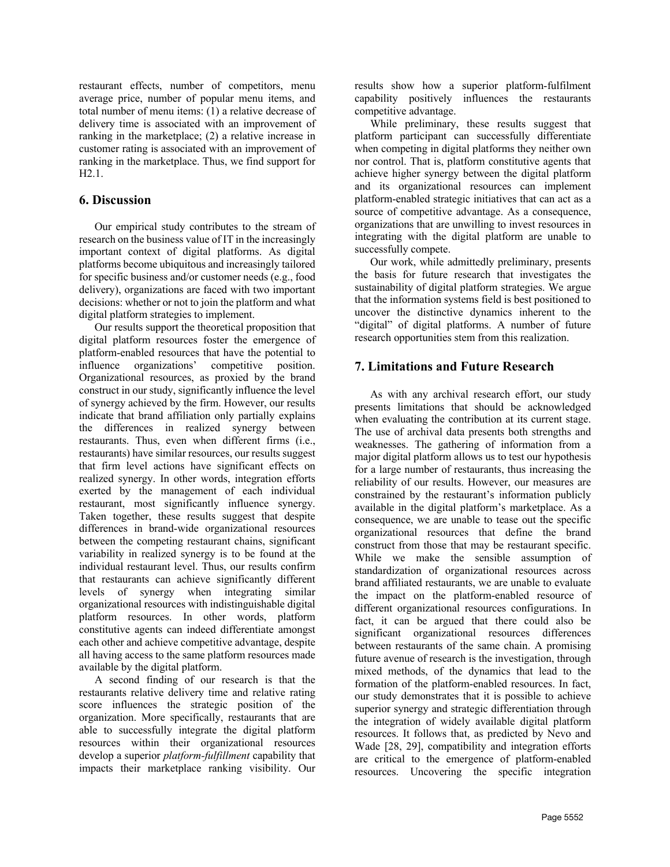restaurant effects, number of competitors, menu average price, number of popular menu items, and total number of menu items: (1) a relative decrease of delivery time is associated with an improvement of ranking in the marketplace; (2) a relative increase in customer rating is associated with an improvement of ranking in the marketplace. Thus, we find support for H2.1.

#### **6. Discussion**

Our empirical study contributes to the stream of research on the business value of IT in the increasingly important context of digital platforms. As digital platforms become ubiquitous and increasingly tailored for specific business and/or customer needs (e.g., food delivery), organizations are faced with two important decisions: whether or not to join the platform and what digital platform strategies to implement.

Our results support the theoretical proposition that digital platform resources foster the emergence of platform-enabled resources that have the potential to influence organizations' competitive position. Organizational resources, as proxied by the brand construct in our study, significantly influence the level of synergy achieved by the firm. However, our results indicate that brand affiliation only partially explains the differences in realized synergy between restaurants. Thus, even when different firms (i.e., restaurants) have similar resources, our results suggest that firm level actions have significant effects on realized synergy. In other words, integration efforts exerted by the management of each individual restaurant, most significantly influence synergy. Taken together, these results suggest that despite differences in brand-wide organizational resources between the competing restaurant chains, significant variability in realized synergy is to be found at the individual restaurant level. Thus, our results confirm that restaurants can achieve significantly different levels of synergy when integrating similar organizational resources with indistinguishable digital platform resources. In other words, platform constitutive agents can indeed differentiate amongst each other and achieve competitive advantage, despite all having access to the same platform resources made available by the digital platform.

A second finding of our research is that the restaurants relative delivery time and relative rating score influences the strategic position of the organization. More specifically, restaurants that are able to successfully integrate the digital platform resources within their organizational resources develop a superior *platform-fulfillment* capability that impacts their marketplace ranking visibility. Our

results show how a superior platform-fulfilment capability positively influences the restaurants competitive advantage.

While preliminary, these results suggest that platform participant can successfully differentiate when competing in digital platforms they neither own nor control. That is, platform constitutive agents that achieve higher synergy between the digital platform and its organizational resources can implement platform-enabled strategic initiatives that can act as a source of competitive advantage. As a consequence, organizations that are unwilling to invest resources in integrating with the digital platform are unable to successfully compete.

Our work, while admittedly preliminary, presents the basis for future research that investigates the sustainability of digital platform strategies. We argue that the information systems field is best positioned to uncover the distinctive dynamics inherent to the "digital" of digital platforms. A number of future research opportunities stem from this realization.

### **7. Limitations and Future Research**

As with any archival research effort, our study presents limitations that should be acknowledged when evaluating the contribution at its current stage. The use of archival data presents both strengths and weaknesses. The gathering of information from a major digital platform allows us to test our hypothesis for a large number of restaurants, thus increasing the reliability of our results. However, our measures are constrained by the restaurant's information publicly available in the digital platform's marketplace. As a consequence, we are unable to tease out the specific organizational resources that define the brand construct from those that may be restaurant specific. While we make the sensible assumption of standardization of organizational resources across brand affiliated restaurants, we are unable to evaluate the impact on the platform-enabled resource of different organizational resources configurations. In fact, it can be argued that there could also be significant organizational resources differences between restaurants of the same chain. A promising future avenue of research is the investigation, through mixed methods, of the dynamics that lead to the formation of the platform-enabled resources. In fact, our study demonstrates that it is possible to achieve superior synergy and strategic differentiation through the integration of widely available digital platform resources. It follows that, as predicted by Nevo and Wade [28, 29], compatibility and integration efforts are critical to the emergence of platform-enabled resources. Uncovering the specific integration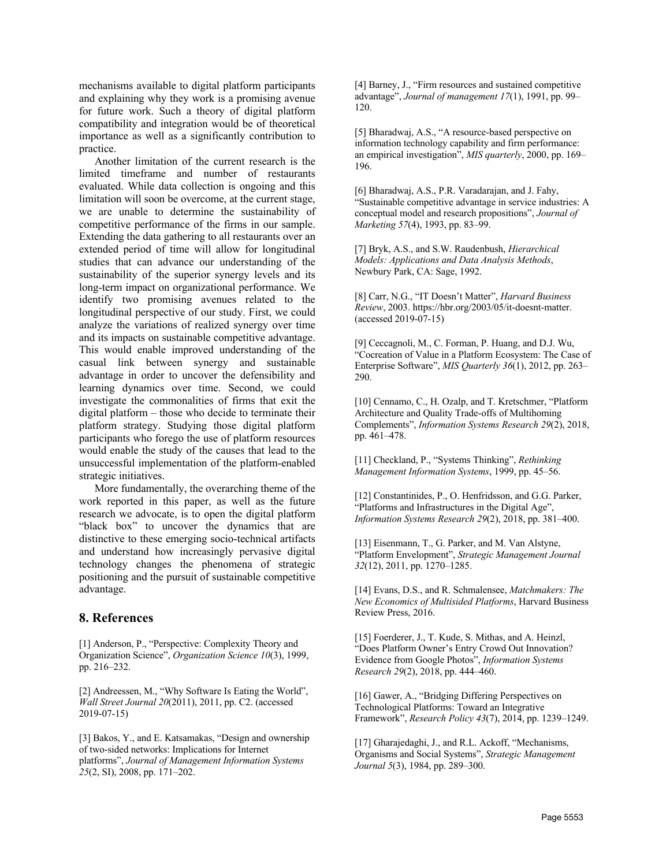mechanisms available to digital platform participants and explaining why they work is a promising avenue for future work. Such a theory of digital platform compatibility and integration would be of theoretical importance as well as a significantly contribution to practice.

Another limitation of the current research is the limited timeframe and number of restaurants evaluated. While data collection is ongoing and this limitation will soon be overcome, at the current stage, we are unable to determine the sustainability of competitive performance of the firms in our sample. Extending the data gathering to all restaurants over an extended period of time will allow for longitudinal studies that can advance our understanding of the sustainability of the superior synergy levels and its long-term impact on organizational performance. We identify two promising avenues related to the longitudinal perspective of our study. First, we could analyze the variations of realized synergy over time and its impacts on sustainable competitive advantage. This would enable improved understanding of the casual link between synergy and sustainable advantage in order to uncover the defensibility and learning dynamics over time. Second, we could investigate the commonalities of firms that exit the digital platform – those who decide to terminate their platform strategy. Studying those digital platform participants who forego the use of platform resources would enable the study of the causes that lead to the unsuccessful implementation of the platform-enabled strategic initiatives.

More fundamentally, the overarching theme of the work reported in this paper, as well as the future research we advocate, is to open the digital platform "black box" to uncover the dynamics that are distinctive to these emerging socio-technical artifacts and understand how increasingly pervasive digital technology changes the phenomena of strategic positioning and the pursuit of sustainable competitive advantage.

#### **8. References**

[1] Anderson, P., "Perspective: Complexity Theory and Organization Science", *Organization Science 10*(3), 1999, pp. 216–232.

[2] Andreessen, M., "Why Software Is Eating the World", *Wall Street Journal 20*(2011), 2011, pp. C2. (accessed 2019-07-15)

[3] Bakos, Y., and E. Katsamakas, "Design and ownership of two-sided networks: Implications for Internet platforms", *Journal of Management Information Systems 25*(2, SI), 2008, pp. 171–202.

[4] Barney, J., "Firm resources and sustained competitive advantage", *Journal of management 17*(1), 1991, pp. 99– 120.

[5] Bharadwaj, A.S., "A resource-based perspective on information technology capability and firm performance: an empirical investigation", *MIS quarterly*, 2000, pp. 169– 196.

[6] Bharadwaj, A.S., P.R. Varadarajan, and J. Fahy, "Sustainable competitive advantage in service industries: A conceptual model and research propositions", *Journal of Marketing 57*(4), 1993, pp. 83–99.

[7] Bryk, A.S., and S.W. Raudenbush, *Hierarchical Models: Applications and Data Analysis Methods*, Newbury Park, CA: Sage, 1992.

[8] Carr, N.G., "IT Doesn't Matter", *Harvard Business Review*, 2003. https://hbr.org/2003/05/it-doesnt-matter. (accessed 2019-07-15)

[9] Ceccagnoli, M., C. Forman, P. Huang, and D.J. Wu, "Cocreation of Value in a Platform Ecosystem: The Case of Enterprise Software", *MIS Quarterly 36*(1), 2012, pp. 263– 290.

[10] Cennamo, C., H. Ozalp, and T. Kretschmer, "Platform Architecture and Quality Trade-offs of Multihoming Complements", *Information Systems Research 29*(2), 2018, pp. 461–478.

[11] Checkland, P., "Systems Thinking", *Rethinking Management Information Systems*, 1999, pp. 45–56.

[12] Constantinides, P., O. Henfridsson, and G.G. Parker, "Platforms and Infrastructures in the Digital Age", *Information Systems Research 29*(2), 2018, pp. 381–400.

[13] Eisenmann, T., G. Parker, and M. Van Alstyne, "Platform Envelopment", *Strategic Management Journal 32*(12), 2011, pp. 1270–1285.

[14] Evans, D.S., and R. Schmalensee, *Matchmakers: The New Economics of Multisided Platforms*, Harvard Business Review Press, 2016.

[15] Foerderer, J., T. Kude, S. Mithas, and A. Heinzl, "Does Platform Owner's Entry Crowd Out Innovation? Evidence from Google Photos", *Information Systems Research 29*(2), 2018, pp. 444–460.

[16] Gawer, A., "Bridging Differing Perspectives on Technological Platforms: Toward an Integrative Framework", *Research Policy 43*(7), 2014, pp. 1239–1249.

[17] Gharajedaghi, J., and R.L. Ackoff, "Mechanisms, Organisms and Social Systems", *Strategic Management Journal 5*(3), 1984, pp. 289–300.